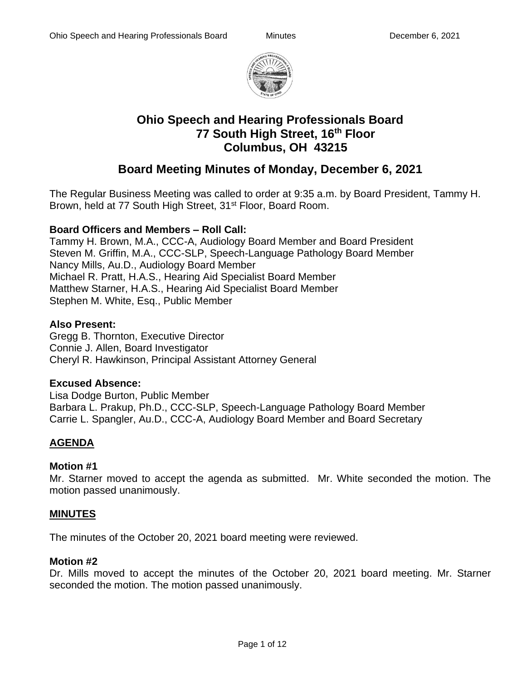

# **Ohio Speech and Hearing Professionals Board 77 South High Street, 16th Floor Columbus, OH 43215**

# **Board Meeting Minutes of Monday, December 6, 2021**

The Regular Business Meeting was called to order at 9:35 a.m. by Board President, Tammy H. Brown, held at 77 South High Street, 31<sup>st</sup> Floor, Board Room.

#### **Board Officers and Members – Roll Call:**

Tammy H. Brown, M.A., CCC-A, Audiology Board Member and Board President Steven M. Griffin, M.A., CCC-SLP, Speech-Language Pathology Board Member Nancy Mills, Au.D., Audiology Board Member Michael R. Pratt, H.A.S., Hearing Aid Specialist Board Member Matthew Starner, H.A.S., Hearing Aid Specialist Board Member Stephen M. White, Esq., Public Member

#### **Also Present:**

Gregg B. Thornton, Executive Director Connie J. Allen, Board Investigator Cheryl R. Hawkinson, Principal Assistant Attorney General

#### **Excused Absence:**

Lisa Dodge Burton, Public Member Barbara L. Prakup, Ph.D., CCC-SLP, Speech-Language Pathology Board Member Carrie L. Spangler, Au.D., CCC-A, Audiology Board Member and Board Secretary

# **AGENDA**

#### **Motion #1**

Mr. Starner moved to accept the agenda as submitted. Mr. White seconded the motion. The motion passed unanimously.

#### **MINUTES**

The minutes of the October 20, 2021 board meeting were reviewed.

#### **Motion #2**

Dr. Mills moved to accept the minutes of the October 20, 2021 board meeting. Mr. Starner seconded the motion. The motion passed unanimously.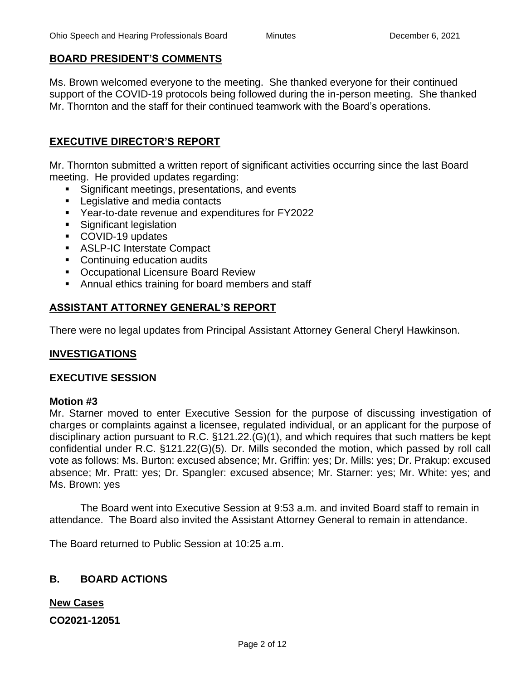#### **BOARD PRESIDENT'S COMMENTS**

Ms. Brown welcomed everyone to the meeting. She thanked everyone for their continued support of the COVID-19 protocols being followed during the in-person meeting. She thanked Mr. Thornton and the staff for their continued teamwork with the Board's operations.

# **EXECUTIVE DIRECTOR'S REPORT**

Mr. Thornton submitted a written report of significant activities occurring since the last Board meeting. He provided updates regarding:

- Significant meetings, presentations, and events
- Legislative and media contacts
- Year-to-date revenue and expenditures for FY2022
- Significant legislation
- COVID-19 updates
- ASLP-IC Interstate Compact
- Continuing education audits
- Occupational Licensure Board Review
- Annual ethics training for board members and staff

# **ASSISTANT ATTORNEY GENERAL'S REPORT**

There were no legal updates from Principal Assistant Attorney General Cheryl Hawkinson.

#### **INVESTIGATIONS**

#### **EXECUTIVE SESSION**

#### **Motion #3**

Mr. Starner moved to enter Executive Session for the purpose of discussing investigation of charges or complaints against a licensee, regulated individual, or an applicant for the purpose of disciplinary action pursuant to R.C. §121.22.(G)(1), and which requires that such matters be kept confidential under R.C. §121.22(G)(5). Dr. Mills seconded the motion, which passed by roll call vote as follows: Ms. Burton: excused absence; Mr. Griffin: yes; Dr. Mills: yes; Dr. Prakup: excused absence; Mr. Pratt: yes; Dr. Spangler: excused absence; Mr. Starner: yes; Mr. White: yes; and Ms. Brown: yes

The Board went into Executive Session at 9:53 a.m. and invited Board staff to remain in attendance. The Board also invited the Assistant Attorney General to remain in attendance.

The Board returned to Public Session at 10:25 a.m.

# **B. BOARD ACTIONS**

**New Cases**

**CO2021-12051**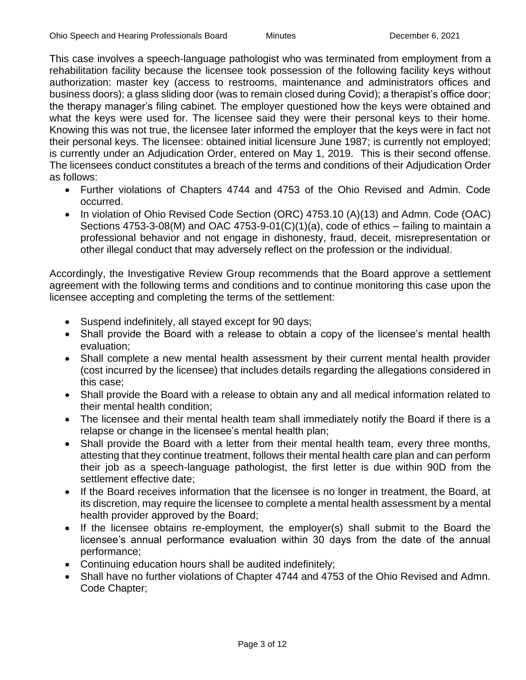This case involves a speech-language pathologist who was terminated from employment from a rehabilitation facility because the licensee took possession of the following facility keys without authorization: master key (access to restrooms, maintenance and administrators offices and business doors); a glass sliding door (was to remain closed during Covid); a therapist's office door; the therapy manager's filing cabinet. The employer questioned how the keys were obtained and what the keys were used for. The licensee said they were their personal keys to their home. Knowing this was not true, the licensee later informed the employer that the keys were in fact not their personal keys. The licensee: obtained initial licensure June 1987; is currently not employed; is currently under an Adjudication Order, entered on May 1, 2019. This is their second offense. The licensees conduct constitutes a breach of the terms and conditions of their Adjudication Order as follows:

- Further violations of Chapters 4744 and 4753 of the Ohio Revised and Admin. Code occurred.
- In violation of Ohio Revised Code Section (ORC) 4753.10 (A)(13) and Admn. Code (OAC) Sections 4753-3-08(M) and OAC 4753-9-01(C)(1)(a), code of ethics – failing to maintain a professional behavior and not engage in dishonesty, fraud, deceit, misrepresentation or other illegal conduct that may adversely reflect on the profession or the individual.

Accordingly, the Investigative Review Group recommends that the Board approve a settlement agreement with the following terms and conditions and to continue monitoring this case upon the licensee accepting and completing the terms of the settlement:

- Suspend indefinitely, all stayed except for 90 days;
- Shall provide the Board with a release to obtain a copy of the licensee's mental health evaluation;
- Shall complete a new mental health assessment by their current mental health provider (cost incurred by the licensee) that includes details regarding the allegations considered in this case;
- Shall provide the Board with a release to obtain any and all medical information related to their mental health condition;
- The licensee and their mental health team shall immediately notify the Board if there is a relapse or change in the licensee's mental health plan;
- Shall provide the Board with a letter from their mental health team, every three months, attesting that they continue treatment, follows their mental health care plan and can perform their job as a speech-language pathologist, the first letter is due within 90D from the settlement effective date;
- If the Board receives information that the licensee is no longer in treatment, the Board, at its discretion, may require the licensee to complete a mental health assessment by a mental health provider approved by the Board;
- If the licensee obtains re-employment, the employer(s) shall submit to the Board the licensee's annual performance evaluation within 30 days from the date of the annual performance;
- Continuing education hours shall be audited indefinitely;
- Shall have no further violations of Chapter 4744 and 4753 of the Ohio Revised and Admn. Code Chapter;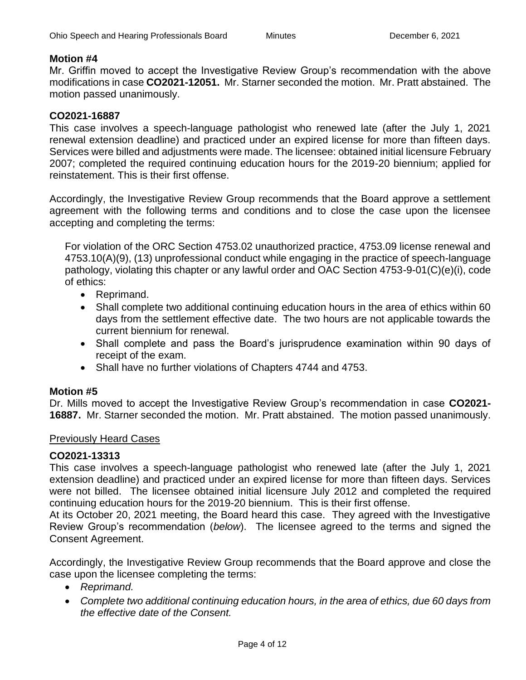#### **Motion #4**

Mr. Griffin moved to accept the Investigative Review Group's recommendation with the above modifications in case **CO2021-12051.** Mr. Starner seconded the motion. Mr. Pratt abstained. The motion passed unanimously.

#### **CO2021-16887**

This case involves a speech-language pathologist who renewed late (after the July 1, 2021 renewal extension deadline) and practiced under an expired license for more than fifteen days. Services were billed and adjustments were made. The licensee: obtained initial licensure February 2007; completed the required continuing education hours for the 2019-20 biennium; applied for reinstatement. This is their first offense.

Accordingly, the Investigative Review Group recommends that the Board approve a settlement agreement with the following terms and conditions and to close the case upon the licensee accepting and completing the terms:

For violation of the ORC Section 4753.02 unauthorized practice, 4753.09 license renewal and 4753.10(A)(9), (13) unprofessional conduct while engaging in the practice of speech-language pathology, violating this chapter or any lawful order and OAC Section 4753-9-01(C)(e)(i), code of ethics:

- Reprimand.
- Shall complete two additional continuing education hours in the area of ethics within 60 days from the settlement effective date. The two hours are not applicable towards the current biennium for renewal.
- Shall complete and pass the Board's jurisprudence examination within 90 days of receipt of the exam.
- Shall have no further violations of Chapters 4744 and 4753.

#### **Motion #5**

Dr. Mills moved to accept the Investigative Review Group's recommendation in case **CO2021- 16887.** Mr. Starner seconded the motion. Mr. Pratt abstained. The motion passed unanimously.

#### Previously Heard Cases

#### **CO2021-13313**

This case involves a speech-language pathologist who renewed late (after the July 1, 2021 extension deadline) and practiced under an expired license for more than fifteen days. Services were not billed. The licensee obtained initial licensure July 2012 and completed the required continuing education hours for the 2019-20 biennium. This is their first offense.

At its October 20, 2021 meeting, the Board heard this case. They agreed with the Investigative Review Group's recommendation (*below*). The licensee agreed to the terms and signed the Consent Agreement.

Accordingly, the Investigative Review Group recommends that the Board approve and close the case upon the licensee completing the terms:

- *Reprimand.*
- *Complete two additional continuing education hours, in the area of ethics, due 60 days from the effective date of the Consent.*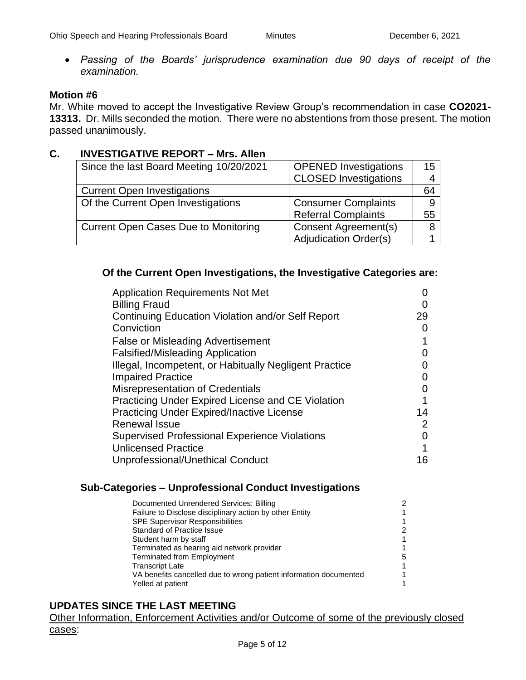• *Passing of the Boards' jurisprudence examination due 90 days of receipt of the examination.*

#### **Motion #6**

Mr. White moved to accept the Investigative Review Group's recommendation in case **CO2021- 13313.** Dr. Mills seconded the motion. There were no abstentions from those present. The motion passed unanimously.

#### **C. INVESTIGATIVE REPORT – Mrs. Allen**

| Since the last Board Meeting 10/20/2021 | <b>OPENED Investigations</b> | 15 |
|-----------------------------------------|------------------------------|----|
|                                         | <b>CLOSED Investigations</b> |    |
| <b>Current Open Investigations</b>      |                              | 64 |
| Of the Current Open Investigations      | <b>Consumer Complaints</b>   |    |
|                                         | <b>Referral Complaints</b>   | 55 |
| Current Open Cases Due to Monitoring    | Consent Agreement(s)         |    |
|                                         | <b>Adjudication Order(s)</b> |    |

#### **Of the Current Open Investigations, the Investigative Categories are:**

| <b>Application Requirements Not Met</b>                |                   |
|--------------------------------------------------------|-------------------|
| <b>Billing Fraud</b>                                   |                   |
| Continuing Education Violation and/or Self Report      | 29                |
| Conviction                                             |                   |
| <b>False or Misleading Advertisement</b>               |                   |
| <b>Falsified/Misleading Application</b>                |                   |
| Illegal, Incompetent, or Habitually Negligent Practice |                   |
| <b>Impaired Practice</b>                               | $\mathbf{\Omega}$ |
| <b>Misrepresentation of Credentials</b>                |                   |
| Practicing Under Expired License and CE Violation      |                   |
| <b>Practicing Under Expired/Inactive License</b>       | 14                |
| <b>Renewal Issue</b>                                   | 2                 |
| <b>Supervised Professional Experience Violations</b>   | O                 |
| <b>Unlicensed Practice</b>                             |                   |
| Unprofessional/Unethical Conduct                       | 16                |

#### **Sub-Categories – Unprofessional Conduct Investigations**

| Documented Unrendered Services; Billing                           |   |
|-------------------------------------------------------------------|---|
| Failure to Disclose disciplinary action by other Entity           |   |
| <b>SPE Supervisor Responsibilities</b>                            |   |
| <b>Standard of Practice Issue</b>                                 |   |
| Student harm by staff                                             |   |
| Terminated as hearing aid network provider                        |   |
| <b>Terminated from Employment</b>                                 | 5 |
| <b>Transcript Late</b>                                            |   |
| VA benefits cancelled due to wrong patient information documented |   |
| Yelled at patient                                                 |   |

# **UPDATES SINCE THE LAST MEETING**

Other Information, Enforcement Activities and/or Outcome of some of the previously closed cases: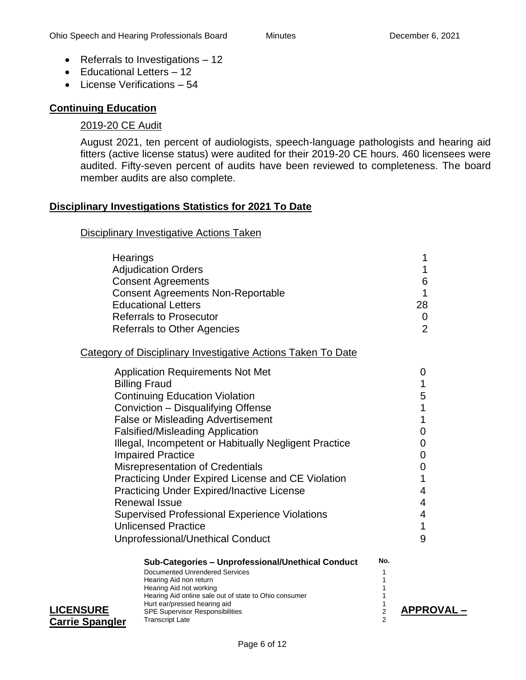- Referrals to Investigations 12
- Educational Letters 12
- License Verifications 54

# **Continuing Education**

#### 2019-20 CE Audit

August 2021, ten percent of audiologists, speech-language pathologists and hearing aid fitters (active license status) were audited for their 2019-20 CE hours. 460 licensees were audited. Fifty-seven percent of audits have been reviewed to completeness. The board member audits are also complete.

#### **Disciplinary Investigations Statistics for 2021 To Date**

#### Disciplinary Investigative Actions Taken

|                        | Hearings                                                                              |                | 1                |
|------------------------|---------------------------------------------------------------------------------------|----------------|------------------|
|                        | <b>Adjudication Orders</b>                                                            |                | 1                |
|                        | <b>Consent Agreements</b>                                                             |                | 6                |
|                        | <b>Consent Agreements Non-Reportable</b>                                              |                | 1                |
|                        | <b>Educational Letters</b>                                                            |                | 28               |
|                        | <b>Referrals to Prosecutor</b>                                                        |                | 0                |
|                        | <b>Referrals to Other Agencies</b>                                                    |                | $\overline{2}$   |
|                        | Category of Disciplinary Investigative Actions Taken To Date                          |                |                  |
|                        | <b>Application Requirements Not Met</b>                                               |                | 0                |
|                        | <b>Billing Fraud</b>                                                                  |                | 1                |
|                        | <b>Continuing Education Violation</b>                                                 |                | 5                |
|                        | Conviction - Disqualifying Offense                                                    |                | 1                |
|                        | <b>False or Misleading Advertisement</b>                                              |                | 1                |
|                        | <b>Falsified/Misleading Application</b>                                               |                | 0                |
|                        | Illegal, Incompetent or Habitually Negligent Practice                                 |                | 0                |
|                        | <b>Impaired Practice</b>                                                              |                | 0                |
|                        | Misrepresentation of Credentials                                                      |                | 0                |
|                        | Practicing Under Expired License and CE Violation                                     |                | 1                |
|                        | <b>Practicing Under Expired/Inactive License</b>                                      |                | 4                |
|                        | <b>Renewal Issue</b>                                                                  |                | 4                |
|                        | <b>Supervised Professional Experience Violations</b>                                  |                | 4                |
|                        | <b>Unlicensed Practice</b>                                                            |                | 1                |
|                        | Unprofessional/Unethical Conduct                                                      |                | 9                |
|                        | Sub-Categories - Unprofessional/Unethical Conduct                                     | No.            |                  |
|                        | Documented Unrendered Services<br>Hearing Aid non return                              | 1              |                  |
|                        | Hearing Aid not working                                                               | 1              |                  |
|                        | Hearing Aid online sale out of state to Ohio consumer<br>Hurt ear/pressed hearing aid | 1<br>1         |                  |
| <b>LICENSURE</b>       | <b>SPE Supervisor Responsibilities</b>                                                | 2              | <b>APPROVAL-</b> |
| <b>Carrie Spangler</b> | <b>Transcript Late</b>                                                                | $\overline{2}$ |                  |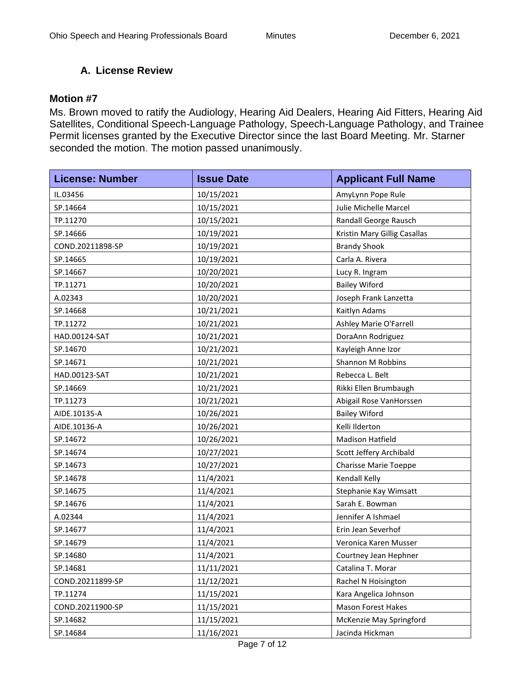# **A. License Review**

#### **Motion #7**

Ms. Brown moved to ratify the Audiology, Hearing Aid Dealers, Hearing Aid Fitters, Hearing Aid Satellites, Conditional Speech-Language Pathology, Speech-Language Pathology, and Trainee Permit licenses granted by the Executive Director since the last Board Meeting. Mr. Starner seconded the motion. The motion passed unanimously.

| <b>License: Number</b> | <b>Issue Date</b> | <b>Applicant Full Name</b>   |
|------------------------|-------------------|------------------------------|
| IL.03456               | 10/15/2021        | AmyLynn Pope Rule            |
| SP.14664               | 10/15/2021        | Julie Michelle Marcel        |
| TP.11270               | 10/15/2021        | Randall George Rausch        |
| SP.14666               | 10/19/2021        | Kristin Mary Gillig Casallas |
| COND.20211898-SP       | 10/19/2021        | <b>Brandy Shook</b>          |
| SP.14665               | 10/19/2021        | Carla A. Rivera              |
| SP.14667               | 10/20/2021        | Lucy R. Ingram               |
| TP.11271               | 10/20/2021        | <b>Bailey Wiford</b>         |
| A.02343                | 10/20/2021        | Joseph Frank Lanzetta        |
| SP.14668               | 10/21/2021        | Kaitlyn Adams                |
| TP.11272               | 10/21/2021        | Ashley Marie O'Farrell       |
| HAD.00124-SAT          | 10/21/2021        | DoraAnn Rodriguez            |
| SP.14670               | 10/21/2021        | Kayleigh Anne Izor           |
| SP.14671               | 10/21/2021        | Shannon M Robbins            |
| HAD.00123-SAT          | 10/21/2021        | Rebecca L. Belt              |
| SP.14669               | 10/21/2021        | Rikki Ellen Brumbaugh        |
| TP.11273               | 10/21/2021        | Abigail Rose VanHorssen      |
| AIDE.10135-A           | 10/26/2021        | <b>Bailey Wiford</b>         |
| AIDE.10136-A           | 10/26/2021        | Kelli Ilderton               |
| SP.14672               | 10/26/2021        | Madison Hatfield             |
| SP.14674               | 10/27/2021        | Scott Jeffery Archibald      |
| SP.14673               | 10/27/2021        | <b>Charisse Marie Toeppe</b> |
| SP.14678               | 11/4/2021         | Kendall Kelly                |
| SP.14675               | 11/4/2021         | Stephanie Kay Wimsatt        |
| SP.14676               | 11/4/2021         | Sarah E. Bowman              |
| A.02344                | 11/4/2021         | Jennifer A Ishmael           |
| SP.14677               | 11/4/2021         | Erin Jean Severhof           |
| SP.14679               | 11/4/2021         | Veronica Karen Musser        |
| SP.14680               | 11/4/2021         | Courtney Jean Hephner        |
| SP.14681               | 11/11/2021        | Catalina T. Morar            |
| COND.20211899-SP       | 11/12/2021        | Rachel N Hoisington          |
| TP.11274               | 11/15/2021        | Kara Angelica Johnson        |
| COND.20211900-SP       | 11/15/2021        | <b>Mason Forest Hakes</b>    |
| SP.14682               | 11/15/2021        | McKenzie May Springford      |
| SP.14684               | 11/16/2021        | Jacinda Hickman              |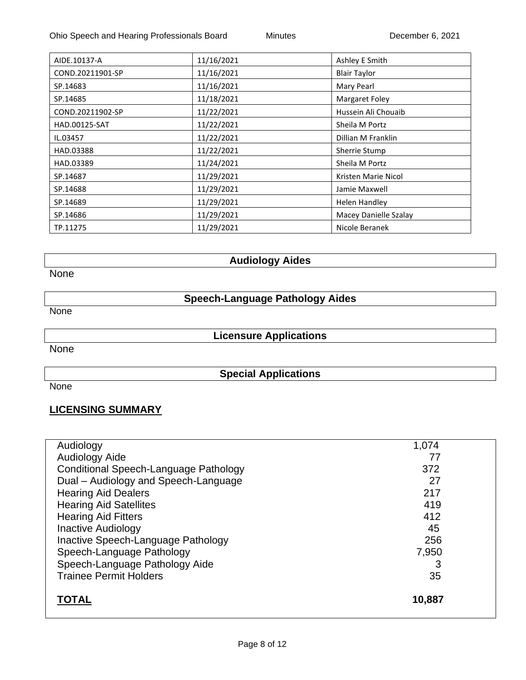| AIDE.10137-A     | 11/16/2021 | Ashley E Smith        |
|------------------|------------|-----------------------|
| COND.20211901-SP | 11/16/2021 | <b>Blair Taylor</b>   |
| SP.14683         | 11/16/2021 | Mary Pearl            |
| SP.14685         | 11/18/2021 | Margaret Foley        |
| COND.20211902-SP | 11/22/2021 | Hussein Ali Chouaib   |
| HAD.00125-SAT    | 11/22/2021 | Sheila M Portz        |
| IL.03457         | 11/22/2021 | Dillian M Franklin    |
| HAD.03388        | 11/22/2021 | Sherrie Stump         |
| HAD.03389        | 11/24/2021 | Sheila M Portz        |
| SP.14687         | 11/29/2021 | Kristen Marie Nicol   |
| SP.14688         | 11/29/2021 | Jamie Maxwell         |
| SP.14689         | 11/29/2021 | Helen Handley         |
| SP.14686         | 11/29/2021 | Macey Danielle Szalay |
| TP.11275         | 11/29/2021 | Nicole Beranek        |

**Audiology Aides**

None

**Speech-Language Pathology Aides**

None

**Licensure Applications**

**None** 

**Special Applications**

None

# **LICENSING SUMMARY**

| Audiology                             | 1,074  |
|---------------------------------------|--------|
| Audiology Aide                        | 77     |
| Conditional Speech-Language Pathology | 372    |
| Dual - Audiology and Speech-Language  | 27     |
| <b>Hearing Aid Dealers</b>            | 217    |
| <b>Hearing Aid Satellites</b>         | 419    |
| <b>Hearing Aid Fitters</b>            | 412    |
| <b>Inactive Audiology</b>             | 45     |
| Inactive Speech-Language Pathology    | 256    |
| Speech-Language Pathology             | 7,950  |
| Speech-Language Pathology Aide        | 3      |
| <b>Trainee Permit Holders</b>         | 35     |
| <b>TOTAL</b>                          | 10,887 |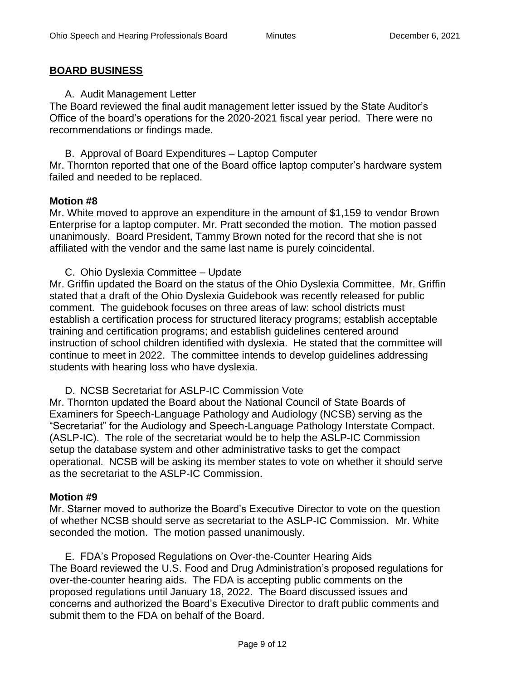#### **BOARD BUSINESS**

A. Audit Management Letter

The Board reviewed the final audit management letter issued by the State Auditor's Office of the board's operations for the 2020-2021 fiscal year period. There were no recommendations or findings made.

B. Approval of Board Expenditures – Laptop Computer Mr. Thornton reported that one of the Board office laptop computer's hardware system

# failed and needed to be replaced.

#### **Motion #8**

Mr. White moved to approve an expenditure in the amount of \$1,159 to vendor Brown Enterprise for a laptop computer. Mr. Pratt seconded the motion. The motion passed unanimously. Board President, Tammy Brown noted for the record that she is not affiliated with the vendor and the same last name is purely coincidental.

C. Ohio Dyslexia Committee – Update

Mr. Griffin updated the Board on the status of the Ohio Dyslexia Committee. Mr. Griffin stated that a draft of the Ohio Dyslexia Guidebook was recently released for public comment. The guidebook focuses on three areas of law: school districts must establish a certification process for structured literacy programs; establish acceptable training and certification programs; and establish guidelines centered around instruction of school children identified with dyslexia. He stated that the committee will continue to meet in 2022. The committee intends to develop guidelines addressing students with hearing loss who have dyslexia.

D. NCSB Secretariat for ASLP-IC Commission Vote

Mr. Thornton updated the Board about the National Council of State Boards of Examiners for Speech-Language Pathology and Audiology (NCSB) serving as the "Secretariat" for the Audiology and Speech-Language Pathology Interstate Compact. (ASLP-IC). The role of the secretariat would be to help the ASLP-IC Commission setup the database system and other administrative tasks to get the compact operational. NCSB will be asking its member states to vote on whether it should serve as the secretariat to the ASLP-IC Commission.

#### **Motion #9**

Mr. Starner moved to authorize the Board's Executive Director to vote on the question of whether NCSB should serve as secretariat to the ASLP-IC Commission. Mr. White seconded the motion. The motion passed unanimously.

E. FDA's Proposed Regulations on Over-the-Counter Hearing Aids The Board reviewed the U.S. Food and Drug Administration's proposed regulations for over-the-counter hearing aids. The FDA is accepting public comments on the proposed regulations until January 18, 2022. The Board discussed issues and concerns and authorized the Board's Executive Director to draft public comments and submit them to the FDA on behalf of the Board.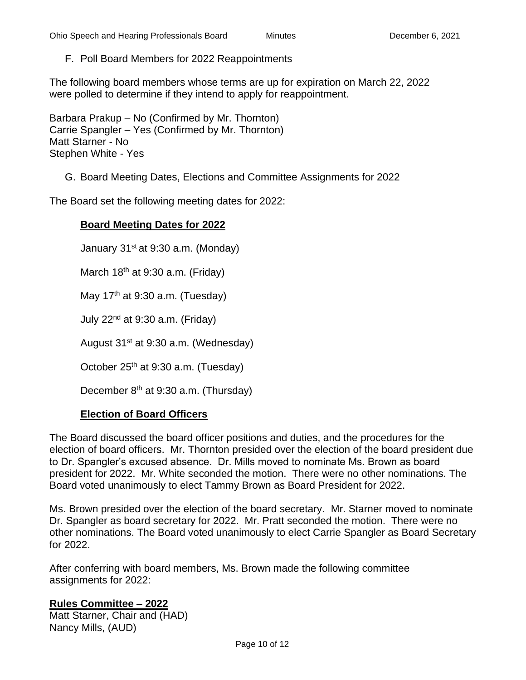# F. Poll Board Members for 2022 Reappointments

The following board members whose terms are up for expiration on March 22, 2022 were polled to determine if they intend to apply for reappointment.

Barbara Prakup – No (Confirmed by Mr. Thornton) Carrie Spangler – Yes (Confirmed by Mr. Thornton) Matt Starner - No Stephen White - Yes

G. Board Meeting Dates, Elections and Committee Assignments for 2022

The Board set the following meeting dates for 2022:

#### **Board Meeting Dates for 2022**

January 31<sup>st</sup> at 9:30 a.m. (Monday)

March  $18<sup>th</sup>$  at 9:30 a.m. (Friday)

May  $17<sup>th</sup>$  at 9:30 a.m. (Tuesday)

July  $22<sup>nd</sup>$  at 9:30 a.m. (Friday)

August 31st at 9:30 a.m. (Wednesday)

October 25<sup>th</sup> at 9:30 a.m. (Tuesday)

December 8<sup>th</sup> at 9:30 a.m. (Thursday)

#### **Election of Board Officers**

The Board discussed the board officer positions and duties, and the procedures for the election of board officers. Mr. Thornton presided over the election of the board president due to Dr. Spangler's excused absence. Dr. Mills moved to nominate Ms. Brown as board president for 2022. Mr. White seconded the motion. There were no other nominations. The Board voted unanimously to elect Tammy Brown as Board President for 2022.

Ms. Brown presided over the election of the board secretary. Mr. Starner moved to nominate Dr. Spangler as board secretary for 2022. Mr. Pratt seconded the motion. There were no other nominations. The Board voted unanimously to elect Carrie Spangler as Board Secretary for 2022.

After conferring with board members, Ms. Brown made the following committee assignments for 2022:

#### **Rules Committee – 2022**

Matt Starner, Chair and (HAD) Nancy Mills, (AUD)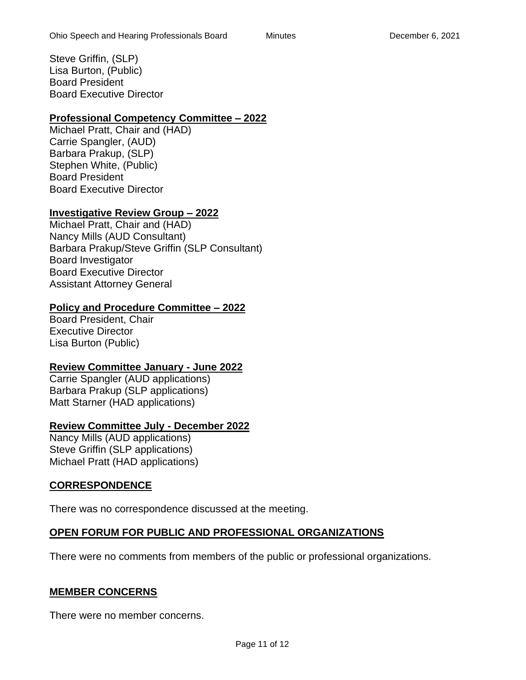Steve Griffin, (SLP) Lisa Burton, (Public) Board President Board Executive Director

# **Professional Competency Committee – 2022**

Michael Pratt, Chair and (HAD) Carrie Spangler, (AUD) Barbara Prakup, (SLP) Stephen White, (Public) Board President Board Executive Director

# **Investigative Review Group – 2022**

Michael Pratt, Chair and (HAD) Nancy Mills (AUD Consultant) Barbara Prakup/Steve Griffin (SLP Consultant) Board Investigator Board Executive Director Assistant Attorney General

# **Policy and Procedure Committee – 2022**

Board President, Chair Executive Director Lisa Burton (Public)

# **Review Committee January - June 2022**

Carrie Spangler (AUD applications) Barbara Prakup (SLP applications) Matt Starner (HAD applications)

# **Review Committee July - December 2022**

Nancy Mills (AUD applications) Steve Griffin (SLP applications) Michael Pratt (HAD applications)

# **CORRESPONDENCE**

There was no correspondence discussed at the meeting.

# **OPEN FORUM FOR PUBLIC AND PROFESSIONAL ORGANIZATIONS**

There were no comments from members of the public or professional organizations.

# **MEMBER CONCERNS**

There were no member concerns.